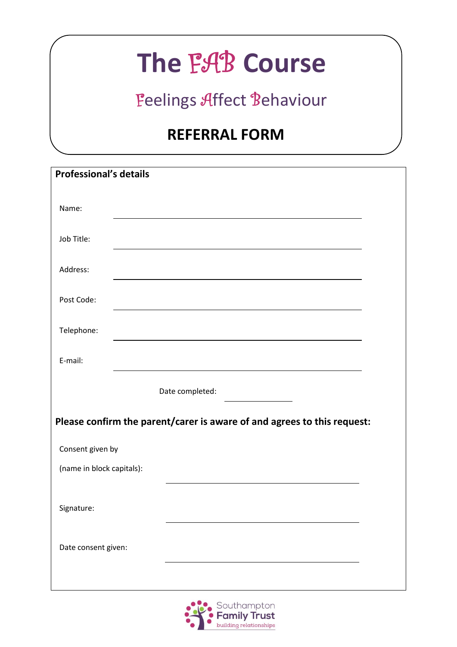## **The** FAB **Course**

## Feelings Affect Behaviour

## **REFERRAL FORM**

| <b>Professional's details</b>                                           |                                                                                                                        |  |  |  |
|-------------------------------------------------------------------------|------------------------------------------------------------------------------------------------------------------------|--|--|--|
| Name:                                                                   |                                                                                                                        |  |  |  |
|                                                                         |                                                                                                                        |  |  |  |
| Job Title:                                                              | <u> 1989 - Johann Stoff, deutscher Stoffen und der Stoffen und der Stoffen und der Stoffen und der Stoffen und der</u> |  |  |  |
| Address:                                                                |                                                                                                                        |  |  |  |
| Post Code:                                                              |                                                                                                                        |  |  |  |
| Telephone:                                                              | <u> 1980 - Johann Barn, fransk politik (f. 1980)</u>                                                                   |  |  |  |
| E-mail:                                                                 |                                                                                                                        |  |  |  |
|                                                                         | Date completed:                                                                                                        |  |  |  |
| Please confirm the parent/carer is aware of and agrees to this request: |                                                                                                                        |  |  |  |
| Consent given by                                                        |                                                                                                                        |  |  |  |
| (name in block capitals):                                               |                                                                                                                        |  |  |  |
|                                                                         |                                                                                                                        |  |  |  |
| Signature:                                                              |                                                                                                                        |  |  |  |
| Date consent given:                                                     |                                                                                                                        |  |  |  |
|                                                                         |                                                                                                                        |  |  |  |
|                                                                         |                                                                                                                        |  |  |  |

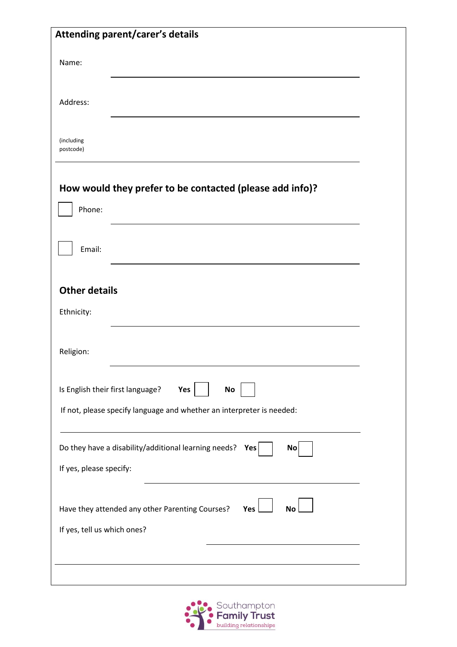|                                                                                                    | Attending parent/carer's details                                      |  |
|----------------------------------------------------------------------------------------------------|-----------------------------------------------------------------------|--|
| Name:                                                                                              |                                                                       |  |
| Address:                                                                                           |                                                                       |  |
| (including<br>postcode)                                                                            |                                                                       |  |
|                                                                                                    | How would they prefer to be contacted (please add info)?              |  |
| Phone:                                                                                             |                                                                       |  |
| Email:                                                                                             |                                                                       |  |
| <b>Other details</b><br>Ethnicity:                                                                 |                                                                       |  |
| Religion:                                                                                          |                                                                       |  |
| Is English their first language?                                                                   | Yes<br>No                                                             |  |
|                                                                                                    | If not, please specify language and whether an interpreter is needed: |  |
|                                                                                                    | Do they have a disability/additional learning needs? Yes<br>No        |  |
| If yes, please specify:                                                                            |                                                                       |  |
| Have they attended any other Parenting Courses?<br>Yes<br><b>No</b><br>If yes, tell us which ones? |                                                                       |  |
|                                                                                                    |                                                                       |  |

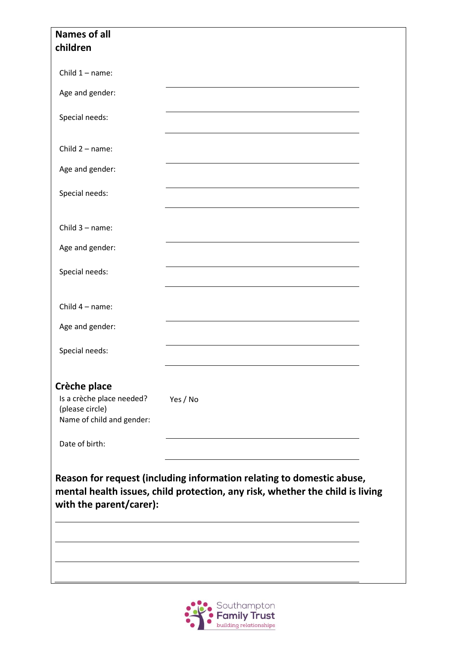| <b>Names of all</b><br>children                                                           |                                                                                                                                                        |  |
|-------------------------------------------------------------------------------------------|--------------------------------------------------------------------------------------------------------------------------------------------------------|--|
| Child $1 - name$ :                                                                        |                                                                                                                                                        |  |
| Age and gender:                                                                           |                                                                                                                                                        |  |
| Special needs:                                                                            |                                                                                                                                                        |  |
| Child $2 - name$ :                                                                        |                                                                                                                                                        |  |
| Age and gender:                                                                           |                                                                                                                                                        |  |
| Special needs:                                                                            | <u> 1989 - Johann Barn, amerikan besteman besteman besteman besteman besteman besteman besteman besteman bestema</u>                                   |  |
| Child $3 - name$ :                                                                        |                                                                                                                                                        |  |
| Age and gender:                                                                           |                                                                                                                                                        |  |
| Special needs:                                                                            | <u> 1989 - Johann Barn, amerikansk politiker (d. 1989)</u>                                                                                             |  |
| Child $4 - name$ :                                                                        |                                                                                                                                                        |  |
| Age and gender:                                                                           |                                                                                                                                                        |  |
| Special needs:                                                                            |                                                                                                                                                        |  |
| Crèche place<br>Is a crèche place needed?<br>(please circle)<br>Name of child and gender: | Yes / No                                                                                                                                               |  |
| Date of birth:                                                                            |                                                                                                                                                        |  |
| with the parent/carer):                                                                   | Reason for request (including information relating to domestic abuse,<br>mental health issues, child protection, any risk, whether the child is living |  |
|                                                                                           |                                                                                                                                                        |  |